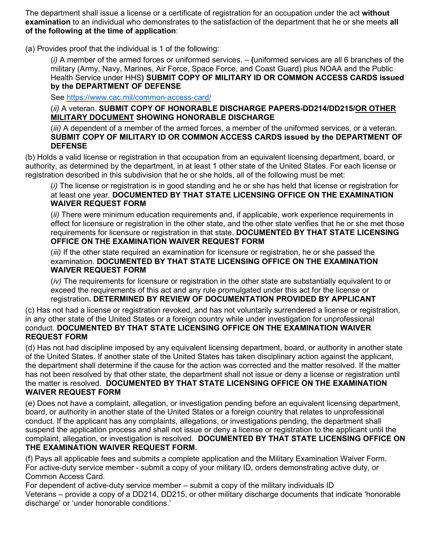The department shall issue a license or a certificate of registration for an occupation under the act **without examination** to an individual who demonstrates to the satisfaction of the department that he or she meets **all of the following at the time of application**:

(a) Provides proof that the individual is 1 of the following:

(*i)* A member of the armed forces or uniformed services. – **(**uniformed services are all 6 branches of the military (Army, Navy, Marines, Air Force, Space Force, and Coast Guard) plus NOAA and the Public Health Service under HHS**) SUBMIT COPY OF MILITARY ID OR COMMON ACCESS CARDS issued by the DEPARTMENT OF DEFENSE**

See [https://www.cac.mil/common-access-card/](https://gcc02.safelinks.protection.outlook.com/?url=https%3A%2F%2Fwww.cac.mil%2Fcommon-access-card%2F&data=04%7C01%7Cbrownm55%40michigan.gov%7Cff961f5a5f454034dcd308d963f238fe%7Cd5fb7087377742ad966a892ef47225d1%7C0%7C0%7C637650714248864065%7CUnknown%7CTWFpbGZsb3d8eyJWIjoiMC4wLjAwMDAiLCJQIjoiV2luMzIiLCJBTiI6Ik1haWwiLCJXVCI6Mn0%3D%7C1000&sdata=Wuo3ff1zacjHaRHncpQ4JtstkGtZjbPVl%2BIy8gvKywE%3D&reserved=0)

(*ii)* A veteran. **SUBMIT COPY OF HONORABLE DISCHARGE PAPERS-DD214/DD215/OR OTHER MILITARY DOCUMENT SHOWING HONORABLE DISCHARGE**

(*iii)* A dependent of a member of the armed forces, a member of the uniformed services, or a veteran. **SUBMIT COPY OF MILITARY ID OR COMMON ACCESS CARDS issued by the DEPARTMENT OF DEFENSE**

(b) Holds a valid license or registration in that occupation from an equivalent licensing department, board, or authority, as determined by the department, in at least 1 other state of the United States. For each license or registration described in this subdivision that he or she holds, all of the following must be met:

(*i)* The license or registration is in good standing and he or she has held that license or registration for at least one year. **DOCUMENTED BY THAT STATE LICENSING OFFICE ON THE EXAMINATION WAIVER REQUEST FORM**

(*ii)* There were minimum education requirements and, if applicable, work experience requirements in effect for licensure or registration in the other state, and the other state verifies that he or she met those requirements for licensure or registration in that state. **DOCUMENTED BY THAT STATE LICENSING OFFICE ON THE EXAMINATION WAIVER REQUEST FORM**

(*iii)* If the other state required an examination for licensure or registration, he or she passed the examination. **DOCUMENTED BY THAT STATE LICENSING OFFICE ON THE EXAMINATION WAIVER REQUEST FORM**

(*iv)* The requirements for licensure or registration in the other state are substantially equivalent to or exceed the requirements of this act and any rule promulgated under this act for the license or registration**. DETERMINED BY REVIEW OF DOCUMENTATION PROVIDED BY APPLICANT**

(c) Has not had a license or registration revoked, and has not voluntarily surrendered a license or registration, in any other state of the United States or a foreign country while under investigation for unprofessional conduct. **DOCUMENTED BY THAT STATE LICENSING OFFICE ON THE EXAMINATION WAIVER REQUEST FORM**

(d) Has not had discipline imposed by any equivalent licensing department, board, or authority in another state of the United States. If another state of the United States has taken disciplinary action against the applicant, the department shall determine if the cause for the action was corrected and the matter resolved. If the matter has not been resolved by that other state, the department shall not issue or deny a license or registration until the matter is resolved. **DOCUMENTED BY THAT STATE LICENSING OFFICE ON THE EXAMINATION WAIVER REQUEST FORM**

(e) Does not have a complaint, allegation, or investigation pending before an equivalent licensing department, board, or authority in another state of the United States or a foreign country that relates to unprofessional conduct. If the applicant has any complaints, allegations, or investigations pending, the department shall suspend the application process and shall not issue or deny a license or registration to the applicant until the complaint, allegation, or investigation is resolved. **DOCUMENTED BY THAT STATE LICENSING OFFICE ON THE EXAMINATION WAIVER REQUEST FORM.** 

(f) Pays all applicable fees and submits a complete application and the Military Examination Waiver Form. For active-duty service member - submit a copy of your military ID, orders demonstrating active duty, or Common Access Card.

For dependent of active-duty service member – submit a copy of the military individuals ID Veterans – provide a copy of a DD214, DD215, or other military discharge documents that indicate 'honorable discharge' or 'under honorable conditions.'